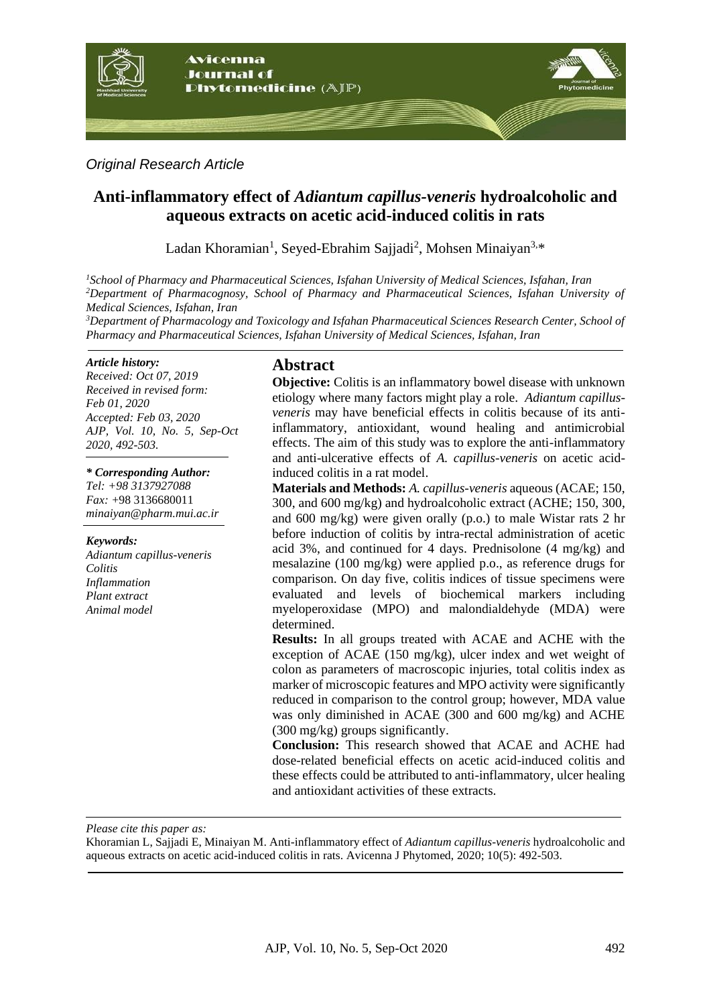

*Original Research Article*

# **Anti-inflammatory effect of** *Adiantum capillus-veneris* **hydroalcoholic and aqueous extracts on acetic acid-induced colitis in rats**

Ladan Khoramian<sup>1</sup>, Seyed-Ebrahim Sajjadi<sup>2</sup>, Mohsen Minaiyan<sup>3,\*</sup>

*<sup>1</sup>School of Pharmacy and Pharmaceutical Sciences, Isfahan University of Medical Sciences, Isfahan, Iran <sup>2</sup>Department of Pharmacognosy, School of Pharmacy and Pharmaceutical Sciences, Isfahan University of Medical Sciences, Isfahan, Iran*

*<sup>3</sup>Department of Pharmacology and Toxicology and Isfahan Pharmaceutical Sciences Research Center, School of Pharmacy and Pharmaceutical Sciences, Isfahan University of Medical Sciences, Isfahan, Iran*

#### *Article history:*

*Received: Oct 07, 2019 Received in revised form: Feb 01, 2020 Accepted: Feb 03, 2020 AJP, Vol. 10, No. 5, Sep-Oct 2020, 492-503.*

*\* Corresponding Author: Tel: +98 3137927088 Fax:* +98 3136680011 *minaiyan@pharm.mui.ac.ir*

*Keywords:* 

*Adiantum capillus-veneris Colitis Inflammation Plant extract Animal model*

## **Abstract**

**Objective:** Colitis is an inflammatory bowel disease with unknown etiology where many factors might play a role. *Adiantum capillusveneris* may have beneficial effects in colitis because of its antiinflammatory, antioxidant, wound healing and antimicrobial effects. The aim of this study was to explore the anti-inflammatory and anti-ulcerative effects of *A. capillus-veneris* on acetic acidinduced colitis in a rat model.

**Materials and Methods:** *A. capillus-veneris* aqueous (ACAE; 150, 300, and 600 mg/kg) and hydroalcoholic extract (ACHE; 150, 300, and 600 mg/kg) were given orally (p.o.) to male Wistar rats 2 hr before induction of colitis by intra-rectal administration of acetic acid 3%, and continued for 4 days. Prednisolone (4 mg/kg) and mesalazine (100 mg/kg) were applied p.o., as reference drugs for comparison. On day five, colitis indices of tissue specimens were evaluated and levels of biochemical markers including myeloperoxidase (MPO) and malondialdehyde (MDA) were determined.

**Results:** In all groups treated with ACAE and ACHE with the exception of ACAE (150 mg/kg), ulcer index and wet weight of colon as parameters of macroscopic injuries, total colitis index as marker of microscopic features and MPO activity were significantly reduced in comparison to the control group; however, MDA value was only diminished in ACAE (300 and 600 mg/kg) and ACHE (300 mg/kg) groups significantly.

**Conclusion:** This research showed that ACAE and ACHE had dose-related beneficial effects on acetic acid-induced colitis and these effects could be attributed to anti-inflammatory, ulcer healing and antioxidant activities of these extracts.

*Please cite this paper as:* 

Khoramian L, Sajjadi E, Minaiyan M. Anti-inflammatory effect of *Adiantum capillus-veneris* hydroalcoholic and aqueous extracts on acetic acid-induced colitis in rats. Avicenna J Phytomed, 2020; 10(5): 492-503.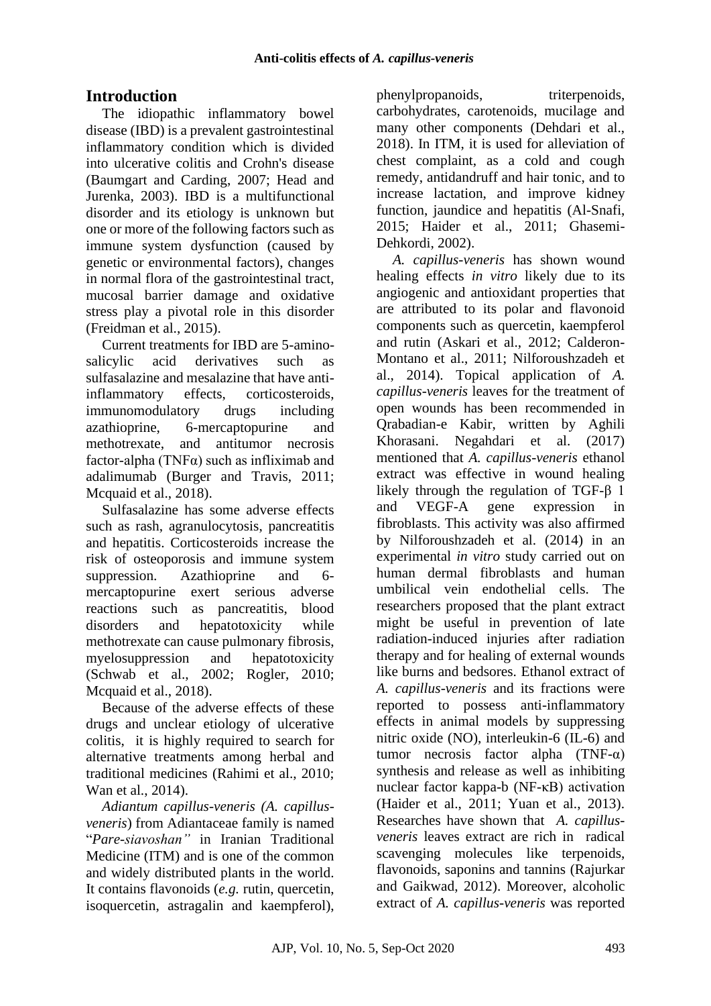# **Introduction**

The idiopathic inflammatory bowel disease (IBD) is a prevalent gastrointestinal inflammatory condition which is divided into ulcerative colitis and Crohn's disease (Baumgart and Carding, 2007; Head and Jurenka, 2003). IBD is a multifunctional disorder and its etiology is unknown but one or more of the following factors such as immune system dysfunction (caused by genetic or environmental factors), changes in normal flora of the gastrointestinal tract, mucosal barrier damage and oxidative stress play a pivotal role in this disorder (Freidman et al., 2015).

Current treatments for IBD are 5-aminosalicylic acid derivatives such as sulfasalazine and mesalazine that have antiinflammatory effects, corticosteroids, immunomodulatory drugs including azathioprine, 6-mercaptopurine and methotrexate, and antitumor necrosis factor-alpha (TNF $\alpha$ ) such as infliximab and adalimumab (Burger and Travis, 2011; Mcquaid et al., 2018).

Sulfasalazine has some adverse effects such as rash, agranulocytosis, pancreatitis and hepatitis. Corticosteroids increase the risk of osteoporosis and immune system suppression. Azathioprine and 6 mercaptopurine exert serious adverse reactions such as pancreatitis, blood disorders and hepatotoxicity while methotrexate can cause pulmonary fibrosis, myelosuppression and hepatotoxicity (Schwab et al., 2002; Rogler, 2010; Mcquaid et al., 2018).

Because of the adverse effects of these drugs and unclear etiology of ulcerative colitis, it is highly required to search for alternative treatments among herbal and traditional medicines (Rahimi et al., 2010; Wan et al., 2014).

*Adiantum capillus-veneris (A. capillusveneris*) from Adiantaceae family is named "*Pare-siavoshan"* in Iranian Traditional Medicine (ITM) and is one of the common and widely distributed plants in the world. It contains flavonoids (*e.g.* rutin, quercetin, isoquercetin, astragalin and kaempferol), phenylpropanoids, triterpenoids, carbohydrates, carotenoids, mucilage and many other components (Dehdari et al., 2018). In ITM, it is used for alleviation of chest complaint, as a cold and cough remedy, antidandruff and hair tonic, and to increase lactation, and improve kidney function, jaundice and hepatitis (Al-Snafi, 2015; Haider et al., 2011; Ghasemi-Dehkordi, 2002).

*A. capillus-veneris* has shown wound healing effects *in vitro* likely due to its angiogenic and antioxidant properties that are attributed to its polar and flavonoid components such as quercetin, kaempferol and rutin (Askari et al., 2012; Calderon-Montano et al., 2011; Nilforoushzadeh et al., 2014). Topical application of *A. capillus-veneris* leaves for the treatment of open wounds has been recommended in Qrabadian-e Kabir, written by Aghili Khorasani. Negahdari et al. (2017) mentioned that *A. capillus-veneris* ethanol extract was effective in wound healing likely through the regulation of TGF-β 1 and VEGF-A gene expression in fibroblasts. This activity was also affirmed by Nilforoushzadeh et al. (2014) in an experimental *in vitro* study carried out on human dermal fibroblasts and human umbilical vein endothelial cells. The researchers proposed that the plant extract might be useful in prevention of late radiation-induced injuries after radiation therapy and for healing of external wounds like burns and bedsores. Ethanol extract of *A. capillus-veneris* and its fractions were reported to possess anti-inflammatory effects in animal models by suppressing nitric oxide (NO), interleukin-6 (IL-6) and tumor necrosis factor alpha (TNF-α) synthesis and release as well as inhibiting nuclear factor kappa-b (NF-κB) activation (Haider et al., 2011; Yuan et al., 2013). Researches have shown that *A. capillusveneris* leaves extract are rich in radical scavenging molecules like terpenoids, flavonoids, saponins and tannins (Rajurkar and Gaikwad, 2012). Moreover, alcoholic extract of *A. capillus-veneris* was reported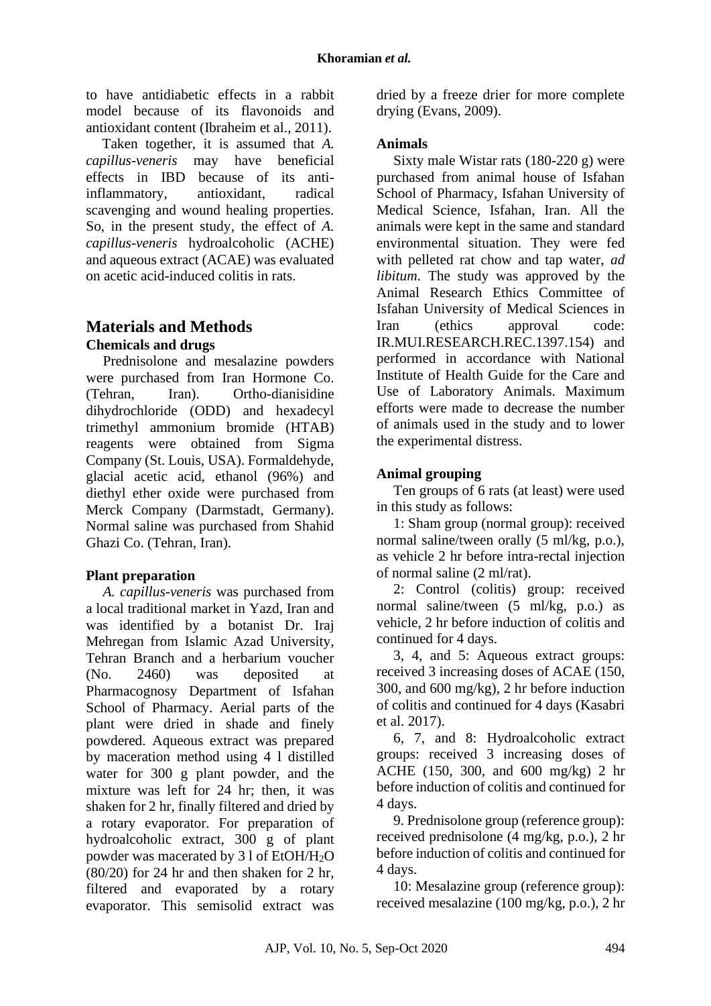to have antidiabetic effects in a rabbit model because of its flavonoids and antioxidant content (Ibraheim et al., 2011).

Taken together, it is assumed that *A. capillus-veneris* may have beneficial effects in IBD because of its antiinflammatory, antioxidant, radical scavenging and wound healing properties. So, in the present study, the effect of *A. capillus-veneris* hydroalcoholic (ACHE) and aqueous extract (ACAE) was evaluated on acetic acid-induced colitis in rats.

# **Materials and Methods Chemicals and drugs**

Prednisolone and mesalazine powders were purchased from Iran Hormone Co. (Tehran, Iran). Ortho-dianisidine dihydrochloride (ODD) and hexadecyl trimethyl ammonium bromide (HTAB) reagents were obtained from Sigma Company (St. Louis, USA). Formaldehyde, glacial acetic acid, ethanol (96%) and diethyl ether oxide were purchased from Merck Company (Darmstadt, Germany). Normal saline was purchased from Shahid Ghazi Co. (Tehran, Iran).

## **Plant preparation**

*A. capillus-veneris* was purchased from a local traditional market in Yazd, Iran and was identified by a botanist Dr. Iraj Mehregan from Islamic Azad University, Tehran Branch and a herbarium voucher (No. 2460) was deposited at Pharmacognosy Department of Isfahan School of Pharmacy. Aerial parts of the plant were dried in shade and finely powdered. Aqueous extract was prepared by maceration method using 4 l distilled water for 300 g plant powder, and the mixture was left for 24 hr; then, it was shaken for 2 hr, finally filtered and dried by a rotary evaporator. For preparation of hydroalcoholic extract, 300 g of plant powder was macerated by 3 l of EtOH/H2O (80/20) for 24 hr and then shaken for 2 hr, filtered and evaporated by a rotary evaporator. This semisolid extract was dried by a freeze drier for more complete drying (Evans, 2009).

## **Animals**

Sixty male Wistar rats (180-220 g) were purchased from animal house of Isfahan School of Pharmacy, Isfahan University of Medical Science, Isfahan, Iran. All the animals were kept in the same and standard environmental situation. They were fed with pelleted rat chow and tap water, *ad libitum*. The study was approved by the Animal Research Ethics Committee of Isfahan University of Medical Sciences in Iran (ethics approval code: IR.MUI.RESEARCH.REC.1397.154) and performed in accordance with National Institute of Health Guide for the Care and Use of Laboratory Animals. Maximum efforts were made to decrease the number of animals used in the study and to lower the experimental distress.

## **Animal grouping**

Ten groups of 6 rats (at least) were used in this study as follows:

1: Sham group (normal group): received normal saline/tween orally (5 ml/kg, p.o.), as vehicle 2 hr before intra-rectal injection of normal saline (2 ml/rat).

2: Control (colitis) group: received normal saline/tween (5 ml/kg, p.o.) as vehicle, 2 hr before induction of colitis and continued for 4 days.

3, 4, and 5: Aqueous extract groups: received 3 increasing doses of ACAE (150, 300, and 600 mg/kg), 2 hr before induction of colitis and continued for 4 days (Kasabri et al. 2017).

6, 7, and 8: Hydroalcoholic extract groups: received 3 increasing doses of ACHE (150, 300, and 600 mg/kg) 2 hr before induction of colitis and continued for 4 days.

9. Prednisolone group (reference group): received prednisolone (4 mg/kg, p.o.), 2 hr before induction of colitis and continued for 4 days.

10: Mesalazine group (reference group): received mesalazine (100 mg/kg, p.o.), 2 hr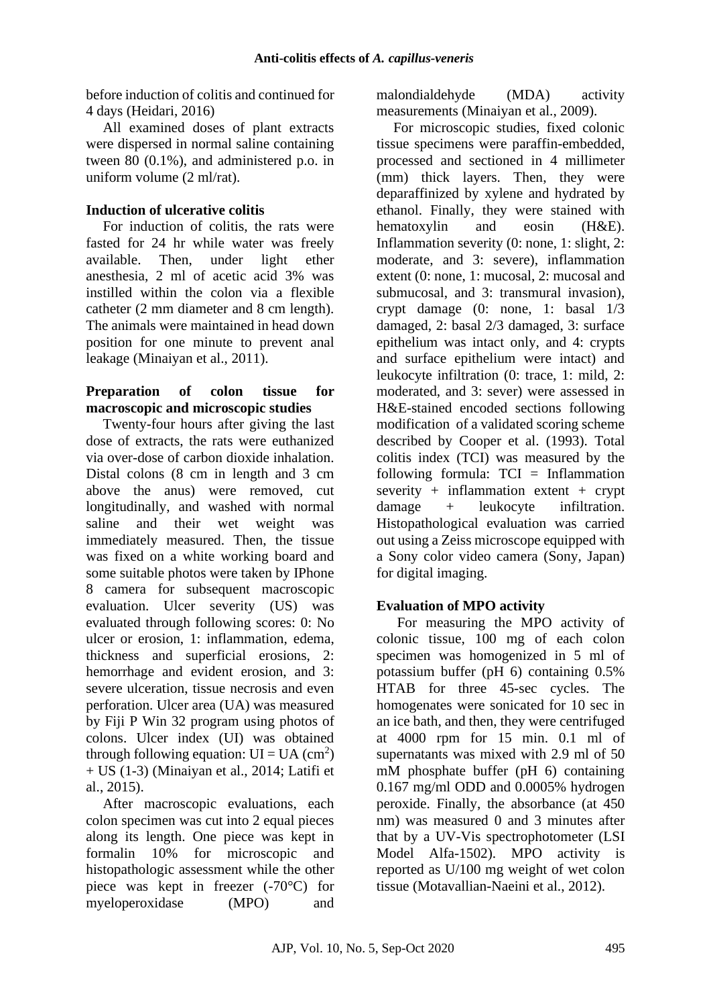before induction of colitis and continued for 4 days (Heidari, 2016)

All examined doses of plant extracts were dispersed in normal saline containing tween 80 (0.1%), and administered p.o. in uniform volume (2 ml/rat).

## **Induction of ulcerative colitis**

For induction of colitis, the rats were fasted for 24 hr while water was freely available. Then, under light ether anesthesia, 2 ml of acetic acid 3% was instilled within the colon via a flexible catheter (2 mm diameter and 8 cm length). The animals were maintained in head down position for one minute to prevent anal leakage (Minaiyan et al., 2011).

## **Preparation of colon tissue for macroscopic and microscopic studies**

Twenty-four hours after giving the last dose of extracts, the rats were euthanized via over-dose of carbon dioxide inhalation. Distal colons (8 cm in length and 3 cm above the anus) were removed, cut longitudinally, and washed with normal saline and their wet weight was immediately measured. Then, the tissue was fixed on a white working board and some suitable photos were taken by IPhone 8 camera for subsequent macroscopic evaluation. Ulcer severity (US) was evaluated through following scores: 0: No ulcer or erosion, 1: inflammation, edema, thickness and superficial erosions, 2: hemorrhage and evident erosion, and 3: severe ulceration, tissue necrosis and even perforation. Ulcer area (UA) was measured by Fiji P Win 32 program using photos of colons. Ulcer index (UI) was obtained through following equation:  $UI = UA (cm<sup>2</sup>)$ + US (1-3) (Minaiyan et al., 2014; Latifi et al., 2015).

After macroscopic evaluations, each colon specimen was cut into 2 equal pieces along its length. One piece was kept in formalin 10% for microscopic and histopathologic assessment while the other piece was kept in freezer (-70°C) for myeloperoxidase (MPO) and

malondialdehyde (MDA) activity measurements (Minaiyan et al., 2009).

For microscopic studies, fixed colonic tissue specimens were paraffin-embedded, processed and sectioned in 4 millimeter (mm) thick layers. Then, they were deparaffinized by xylene and hydrated by ethanol. Finally, they were stained with hematoxylin and eosin (H&E). Inflammation severity (0: none, 1: slight, 2: moderate, and 3: severe), inflammation extent (0: none, 1: mucosal, 2: mucosal and submucosal, and 3: transmural invasion), crypt damage (0: none, 1: basal 1/3 damaged, 2: basal 2/3 damaged, 3: surface epithelium was intact only, and 4: crypts and surface epithelium were intact) and leukocyte infiltration (0: trace, 1: mild, 2: moderated, and 3: sever) were assessed in H&E-stained encoded sections following modification of a validated scoring scheme described by Cooper et al. (1993). Total colitis index (TCI) was measured by the following formula:  $TCI = Inflammation$ severity + inflammation extent + crypt damage + leukocyte infiltration. Histopathological evaluation was carried out using a Zeiss microscope equipped with a Sony color video camera (Sony, Japan) for digital imaging.

# **Evaluation of MPO activity**

For measuring the MPO activity of colonic tissue, 100 mg of each colon specimen was homogenized in 5 ml of potassium buffer (pH 6) containing 0.5% HTAB for three 45-sec cycles. The homogenates were sonicated for 10 sec in an ice bath, and then, they were centrifuged at 4000 rpm for 15 min. 0.1 ml of supernatants was mixed with 2.9 ml of 50 mM phosphate buffer (pH 6) containing 0.167 mg/ml ODD and 0.0005% hydrogen peroxide. Finally, the absorbance (at 450 nm) was measured 0 and 3 minutes after that by a UV-Vis spectrophotometer (LSI Model Alfa-1502). MPO activity is reported as U/100 mg weight of wet colon tissue (Motavallian-Naeini et al., 2012).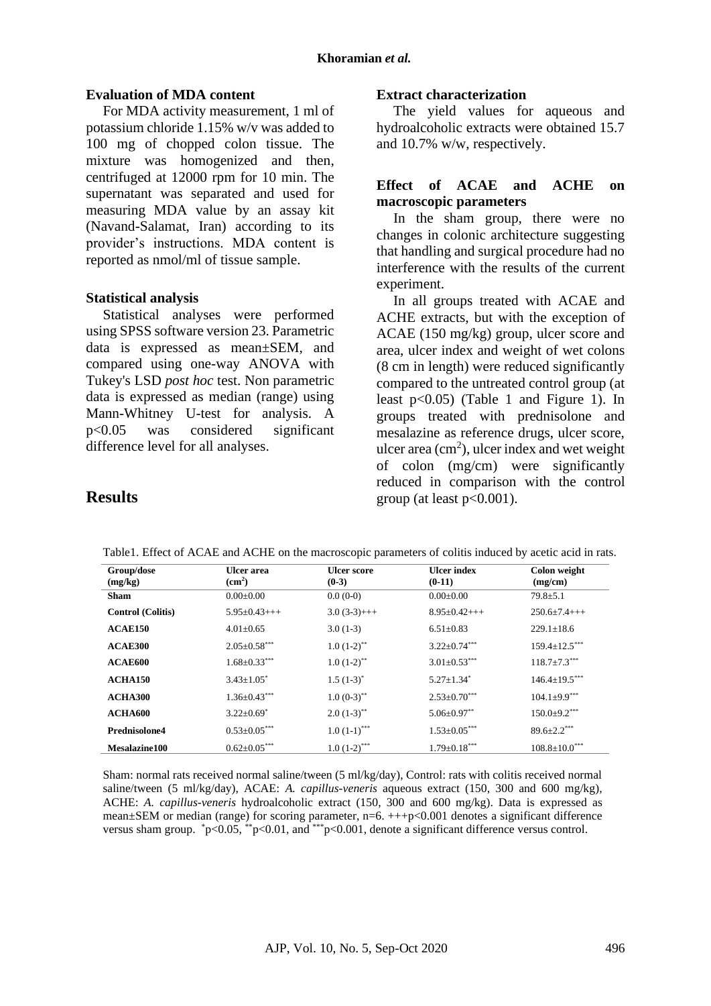### **Evaluation of MDA content**

For MDA activity measurement, 1 ml of potassium chloride 1.15% w/v was added to 100 mg of chopped colon tissue. The mixture was homogenized and then, centrifuged at 12000 rpm for 10 min. The supernatant was separated and used for measuring MDA value by an assay kit (Navand-Salamat, Iran) according to its provider's instructions. MDA content is reported as nmol/ml of tissue sample.

#### **Statistical analysis**

**Results**

Statistical analyses were performed using SPSS software version 23. Parametric data is expressed as mean±SEM, and compared using one-way ANOVA with Tukey's LSD *post hoc* test. Non parametric data is expressed as median (range) using Mann-Whitney U-test for analysis. A p<0.05 was considered significant difference level for all analyses.

#### **Extract characterization**

The yield values for aqueous and hydroalcoholic extracts were obtained 15.7 and 10.7% w/w, respectively.

## **Effect of ACAE and ACHE on macroscopic parameters**

In the sham group, there were no changes in colonic architecture suggesting that handling and surgical procedure had no interference with the results of the current experiment.

In all groups treated with ACAE and ACHE extracts, but with the exception of ACAE (150 mg/kg) group, ulcer score and area, ulcer index and weight of wet colons (8 cm in length) were reduced significantly compared to the untreated control group (at least p<0.05) (Table 1 and Figure 1). In groups treated with prednisolone and mesalazine as reference drugs, ulcer score, ulcer area  $(cm<sup>2</sup>)$ , ulcer index and wet weight of colon (mg/cm) were significantly reduced in comparison with the control group (at least  $p<0.001$ ).

#### **Group/dose (mg/kg) Ulcer area (cm<sup>2</sup> ) Ulcer score (0-3) Ulcer index (0-11) Colon weight (mg/cm) Sham**  $0.00 \pm 0.00$   $0.00 \pm 0.00$   $0.00 \pm 0.00$   $0.00 \pm 0.00$   $79.8 \pm 5.1$ **Control (Colitis)** 5.95±0.43+++ 3.0 (3-3)+++ 8.95±0.42+++ 250.6±7.4+++ **ACAE150** 4.01±0.65 3.0 (1-3) 6.51±0.83 229.1±18.6 **ACAE300** 2.05±0.58\*\*\* 1.0 (1-2)<sup>\*\*</sup> 3.22±0.74\*\*\* 159.4±12.5\*\*\* **ACAE600** 1.68±0.33\*\*\* 1.0 (1-2)\*\* 3.01±0.53\*\*\* 118.7±7.3\*\*\* **ACHA150** 3.43±1.05\*  $1.5(1-3)^{*}$ 5.27±1.34\*  $146.4 \pm 19.5***$ **ACHA300** 1.36±0.43<sup>\*\*\*</sup> 1.0 (0-3)<sup>\*\*</sup> 2.53±0.70<sup>\*\*\*</sup> 104.1±9.9<sup>\*\*\*</sup> **ACHA600** 3.22±0.69<sup>\*</sup> 2.0 (1-3)<sup>\*\*</sup> 5.06±0.97<sup>\*\*</sup> 150.0±9.2<sup>\*\*\*</sup> **Prednisolone4** 0.53±0.05\*\*\* 1.0 (1-1)\*\*\* 1.53±0.05\*\*\* 89.6±2.2\*\*\* **Mesalazine100** 0.62±0.05<sup>\*\*\*</sup> 1.0 (1-2)<sup>\*\*\*</sup> 1.79±0.18<sup>\*\*\*</sup> 108.8±10.0<sup>\*\*\*</sup>

Table1. Effect of ACAE and ACHE on the macroscopic parameters of colitis induced by acetic acid in rats.

Sham: normal rats received normal saline/tween (5 ml/kg/day), Control: rats with colitis received normal saline/tween (5 ml/kg/day), ACAE: *A. capillus-veneris* aqueous extract (150, 300 and 600 mg/kg), ACHE: *A. capillus-veneris* hydroalcoholic extract (150, 300 and 600 mg/kg). Data is expressed as mean±SEM or median (range) for scoring parameter, n=6.  $+++p<0.001$  denotes a significant difference versus sham group. \*p<0.05, \*\*p<0.01, and \*\*\*p<0.001, denote a significant difference versus control.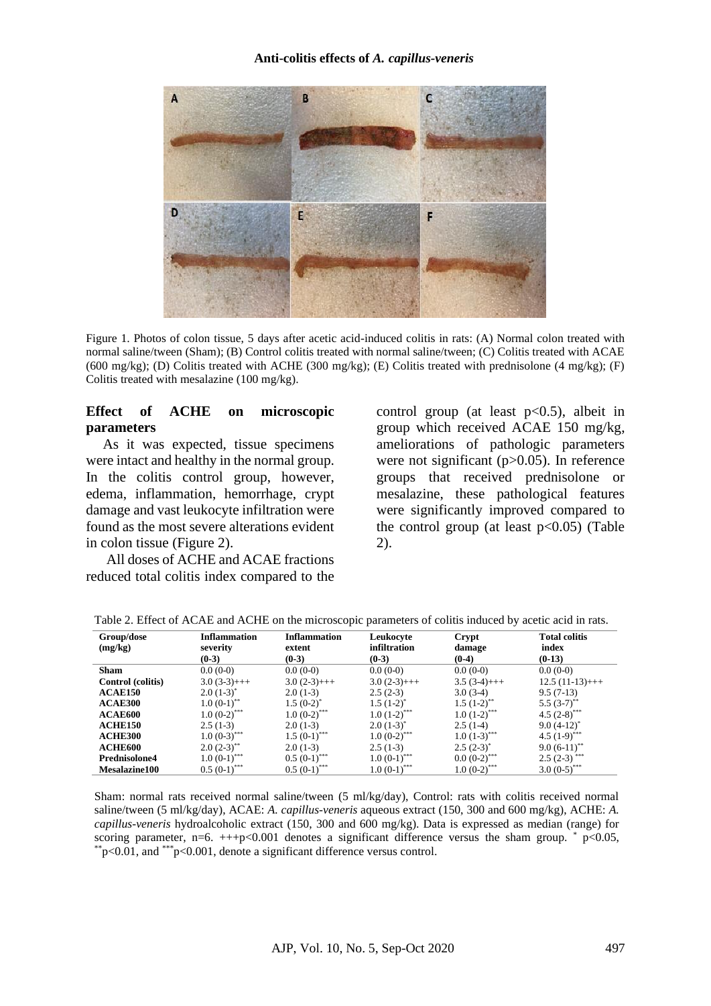

Figure 1. Photos of colon tissue, 5 days after acetic acid-induced colitis in rats: (A) Normal colon treated with normal saline/tween (Sham); (B) Control colitis treated with normal saline/tween; (C) Colitis treated with ACAE (600 mg/kg); (D) Colitis treated with ACHE (300 mg/kg); (E) Colitis treated with prednisolone (4 mg/kg); (F) Colitis treated with mesalazine (100 mg/kg).

### **Effect of ACHE on microscopic parameters**

As it was expected, tissue specimens were intact and healthy in the normal group. In the colitis control group, however, edema, inflammation, hemorrhage, crypt damage and vast leukocyte infiltration were found as the most severe alterations evident in colon tissue (Figure 2).

All doses of ACHE and ACAE fractions reduced total colitis index compared to the

control group (at least  $p<0.5$ ), albeit in group which received ACAE 150 mg/kg, ameliorations of pathologic parameters were not significant (p>0.05). In reference groups that received prednisolone or mesalazine, these pathological features were significantly improved compared to the control group (at least  $p<0.05$ ) (Table 2).

| Group/dose           | <b>Inflammation</b>        | <b>Inflammation</b>        | Leukocyte                 | Crypt                      | <b>Total colitis</b>       |
|----------------------|----------------------------|----------------------------|---------------------------|----------------------------|----------------------------|
| (mg/kg)              | severity                   | extent                     | infiltration              | damage                     | index                      |
|                      | $(0-3)$                    | $(0-3)$                    | $(0-3)$                   | $(0-4)$                    | $(0-13)$                   |
| <b>Sham</b>          | $0.0(0-0)$                 | $0.0(0-0)$                 | $0.0(0-0)$                | $0.0(0-0)$                 | $0.0(0-0)$                 |
| Control (colitis)    | $3.0(3-3)$ +++             | $3.0(2-3)$ +++             | $3.0(2-3)$ +++            | $3.5(3-4)$ +++             | $12.5(11-13)$ +++          |
| <b>ACAE150</b>       | $2.0(1-3)^{*}$             | $2.0(1-3)$                 | $2.5(2-3)$                | $3.0(3-4)$                 | $9.5(7-13)$                |
| ACAE300              | $1.0 (0-1)^{**}$           | $1.5 (0-2)^*$              | $1.5(1-2)^{*}$            | $1.5(1-2)$ <sup>**</sup>   | $5.5 (3-7)$ <sup>**</sup>  |
| ACAE600              | $1.0 (0-2)$ <sup>***</sup> | $1.0~(0-2)$ <sup>***</sup> | $1.0(1-2)$ <sup>***</sup> | $1.0(1-2)$ <sup>***</sup>  | 4.5 $(2-8)$ ***            |
| <b>ACHE150</b>       | $2.5(1-3)$                 | $2.0(1-3)$                 | $2.0(1-3)^{*}$            | $2.5(1-4)$                 | $9.0 (4-12)^*$             |
| <b>ACHE300</b>       | $1.0(0-3)$ <sup>***</sup>  | $1.5(0-1)$ ***             | $1.0(0-2)$ ***            | $1.0(1-3)$ <sup>***</sup>  | 4.5 $(1-9)$ <sup>***</sup> |
| ACHE600              | $2.0 (2-3)^{**}$           | $2.0(1-3)$                 | $2.5(1-3)$                | $2.5(2-3)^{*}$             | $9.0 (6-11)^{**}$          |
| Prednisolone4        | $1.0(0-1)$ ***             | $0.5 (0-1)$ <sup>***</sup> | $1.0(0-1)$ ***            | $0.0~(0-2)$ ***            | $2.5(2-3)$ ***             |
| <b>Mesalazine100</b> | $0.5 (0-1)$ ***            | $0.5 (0-1)$ ***            | $1.0(0-1)$ ***            | $1.0 (0-2)$ <sup>***</sup> | $3.0 (0-5)$ <sup>***</sup> |

Table 2. Effect of ACAE and ACHE on the microscopic parameters of colitis induced by acetic acid in rats.

Sham: normal rats received normal saline/tween (5 ml/kg/day), Control: rats with colitis received normal saline/tween (5 ml/kg/day), ACAE: *A. capillus-veneris* aqueous extract (150, 300 and 600 mg/kg), ACHE: *A. capillus-veneris* hydroalcoholic extract (150, 300 and 600 mg/kg). Data is expressed as median (range) for scoring parameter, n=6.  $\pm +p < 0.001$  denotes a significant difference versus the sham group. \* p<0.05,  $*_{p<0.01}$ , and  $*_{p<0.001}$ , denote a significant difference versus control.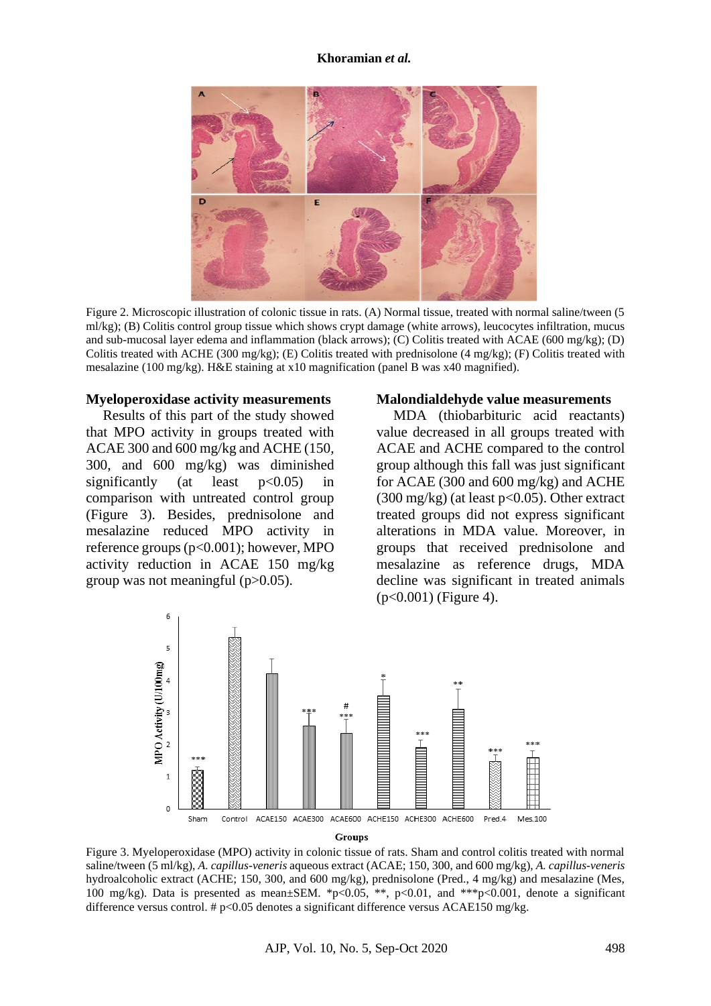#### **Khoramian** *et al.*



Figure 2. Microscopic illustration of colonic tissue in rats. (A) Normal tissue, treated with normal saline/tween (5 ml/kg); (B) Colitis control group tissue which shows crypt damage (white arrows), leucocytes infiltration, mucus and sub-mucosal layer edema and inflammation (black arrows); (C) Colitis treated with ACAE (600 mg/kg); (D) Colitis treated with ACHE (300 mg/kg); (E) Colitis treated with prednisolone (4 mg/kg); (F) Colitis treated with mesalazine (100 mg/kg). H&E staining at x10 magnification (panel B was x40 magnified).

#### **Myeloperoxidase activity measurements**

Results of this part of the study showed that MPO activity in groups treated with ACAE 300 and 600 mg/kg and ACHE (150, 300, and 600 mg/kg) was diminished significantly (at least  $p<0.05$ ) in comparison with untreated control group (Figure 3). Besides, prednisolone and mesalazine reduced MPO activity in reference groups (p<0.001); however, MPO activity reduction in ACAE 150 mg/kg group was not meaningful (p>0.05).

#### **Malondialdehyde value measurements**

MDA (thiobarbituric acid reactants) value decreased in all groups treated with ACAE and ACHE compared to the control group although this fall was just significant for ACAE (300 and 600 mg/kg) and ACHE  $(300 \text{ mg/kg})$  (at least  $p<0.05$ ). Other extract treated groups did not express significant alterations in MDA value. Moreover, in groups that received prednisolone and mesalazine as reference drugs, MDA decline was significant in treated animals (p<0.001) (Figure 4).

![](_page_6_Figure_7.jpeg)

Groups

Figure 3. Myeloperoxidase (MPO) activity in colonic tissue of rats. Sham and control colitis treated with normal saline/tween (5 ml/kg), *A. capillus-veneris* aqueous extract (ACAE; 150, 300, and 600 mg/kg), *A. capillus-veneris* hydroalcoholic extract (ACHE; 150, 300, and 600 mg/kg), prednisolone (Pred., 4 mg/kg) and mesalazine (Mes, 100 mg/kg). Data is presented as mean±SEM. \*p<0.05, \*\*, p<0.01, and \*\*\*p<0.001, denote a significant difference versus control. # p<0.05 denotes a significant difference versus ACAE150 mg/kg.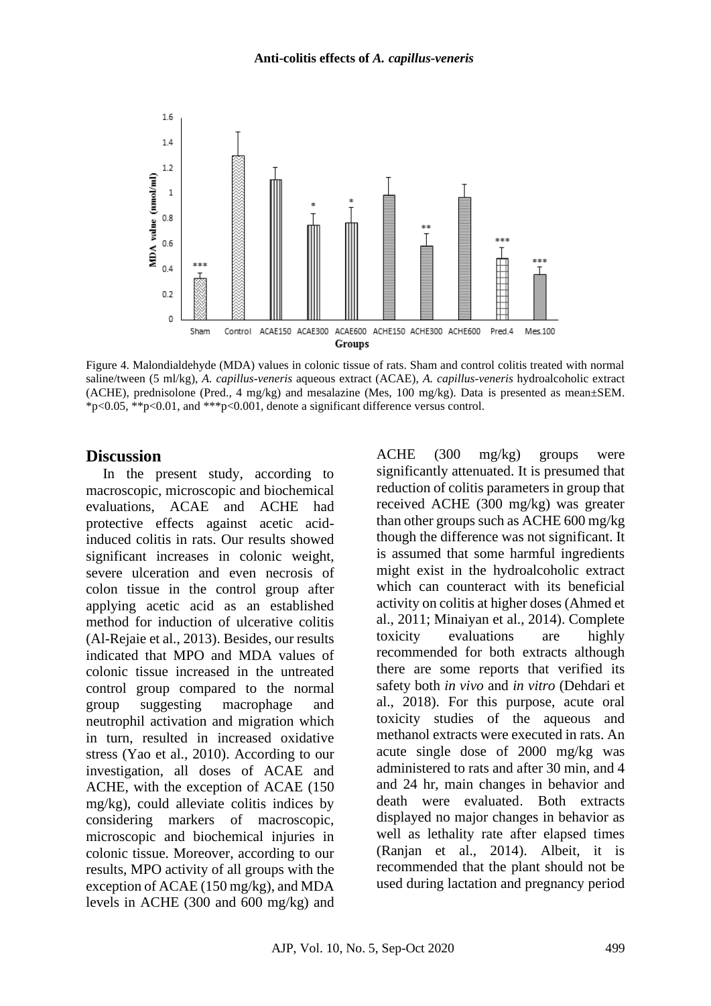![](_page_7_Figure_1.jpeg)

Figure 4. Malondialdehyde (MDA) values in colonic tissue of rats. Sham and control colitis treated with normal saline/tween (5 ml/kg), *A. capillus-veneris* aqueous extract (ACAE), *A. capillus-veneris* hydroalcoholic extract (ACHE), prednisolone (Pred., 4 mg/kg) and mesalazine (Mes, 100 mg/kg). Data is presented as mean±SEM. \*p<0.05, \*\*p<0.01, and \*\*\*p<0.001, denote a significant difference versus control.

#### **Discussion**

In the present study, according to macroscopic, microscopic and biochemical evaluations, ACAE and ACHE had protective effects against acetic acidinduced colitis in rats. Our results showed significant increases in colonic weight, severe ulceration and even necrosis of colon tissue in the control group after applying acetic acid as an established method for induction of ulcerative colitis (Al-Rejaie et al., 2013). Besides, our results indicated that MPO and MDA values of colonic tissue increased in the untreated control group compared to the normal group suggesting macrophage and neutrophil activation and migration which in turn, resulted in increased oxidative stress (Yao et al., 2010). According to our investigation, all doses of ACAE and ACHE, with the exception of ACAE (150 mg/kg), could alleviate colitis indices by considering markers of macroscopic, microscopic and biochemical injuries in colonic tissue. Moreover, according to our results, MPO activity of all groups with the exception of ACAE (150 mg/kg), and MDA levels in ACHE (300 and 600 mg/kg) and ACHE (300 mg/kg) groups were significantly attenuated. It is presumed that reduction of colitis parameters in group that received ACHE (300 mg/kg) was greater than other groups such as ACHE 600 mg/kg though the difference was not significant. It is assumed that some harmful ingredients might exist in the hydroalcoholic extract which can counteract with its beneficial activity on colitis at higher doses (Ahmed et al., 2011; Minaiyan et al., 2014). Complete toxicity evaluations are highly recommended for both extracts although there are some reports that verified its safety both *in vivo* and *in vitro* (Dehdari et al., 2018). For this purpose, acute oral toxicity studies of the aqueous and methanol extracts were executed in rats. An acute single dose of 2000 mg/kg was administered to rats and after 30 min, and 4 and 24 hr, main changes in behavior and death were evaluated*.* Both extracts displayed no major changes in behavior as well as lethality rate after elapsed times (Ranjan et al., 2014). Albeit, it is recommended that the plant should not be used during lactation and pregnancy period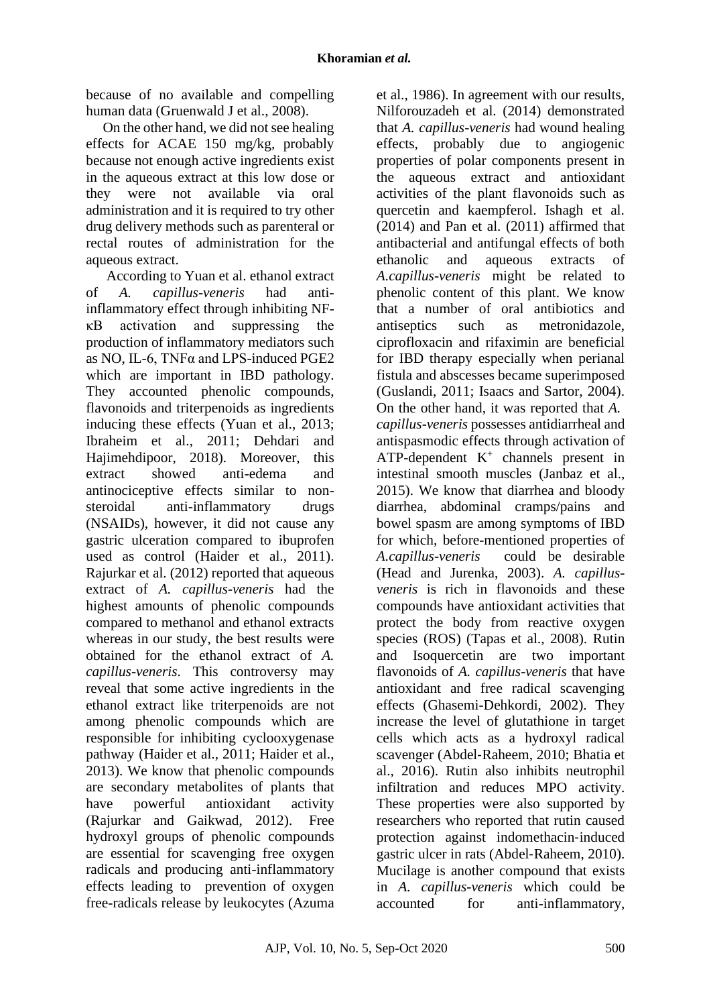because of no available and compelling human data (Gruenwald J et al., 2008).

On the other hand, we did not see healing effects for ACAE 150 mg/kg, probably because not enough active ingredients exist in the aqueous extract at this low dose or they were not available via oral administration and it is required to try other drug delivery methods such as parenteral or rectal routes of administration for the aqueous extract.

According to Yuan et al. ethanol extract of *A. capillus-veneris* had antiinflammatory effect through inhibiting NFκB activation and suppressing the production of inflammatory mediators such as NO, IL-6, TNFα and LPS-induced PGE2 which are important in IBD pathology. They accounted phenolic compounds, flavonoids and triterpenoids as ingredients inducing these effects (Yuan et al., 2013; Ibraheim et al., 2011; Dehdari and Hajimehdipoor, 2018). Moreover, this extract showed anti-edema and antinociceptive effects similar to nonsteroidal anti-inflammatory drugs (NSAIDs), however, it did not cause any gastric ulceration compared to ibuprofen used as control (Haider et al., 2011). Rajurkar et al. (2012) reported that aqueous extract of *A. capillus-veneris* had the highest amounts of phenolic compounds compared to methanol and ethanol extracts whereas in our study, the best results were obtained for the ethanol extract of *A. capillus-veneris*. This controversy may reveal that some active ingredients in the ethanol extract like triterpenoids are not among phenolic compounds which are responsible for inhibiting cyclooxygenase pathway (Haider et al., 2011; Haider et al., 2013). We know that phenolic compounds are secondary metabolites of plants that have powerful antioxidant activity (Rajurkar and Gaikwad, 2012). Free hydroxyl groups of phenolic compounds are essential for scavenging free oxygen radicals and producing anti-inflammatory effects leading to prevention of oxygen free-radicals release by leukocytes (Azuma

et al., 1986). In agreement with our results, Nilforouzadeh et al. (2014) demonstrated that *A. capillus-veneris* had wound healing effects, probably due to angiogenic properties of polar components present in the aqueous extract and antioxidant activities of the plant flavonoids such as quercetin and kaempferol. Ishagh et al. (2014) and Pan et al. (2011) affirmed that antibacterial and antifungal effects of both ethanolic and aqueous extracts of *A.capillus-veneris* might be related to phenolic content of this plant. We know that a number of oral antibiotics and antiseptics such as metronidazole, ciprofloxacin and rifaximin are beneficial for IBD therapy especially when perianal fistula and abscesses became superimposed (Guslandi, 2011; Isaacs and Sartor, 2004). On the other hand, it was reported that *A. capillus-veneris* possesses antidiarrheal and antispasmodic effects through activation of  $ATP-dependent K<sup>+</sup> channels present in$ intestinal smooth muscles (Janbaz et al., 2015). We know that diarrhea and bloody diarrhea, abdominal cramps/pains and bowel spasm are among symptoms of IBD for which, before-mentioned properties of *A.capillus-veneris* could be desirable (Head and Jurenka, 2003). *A. capillusveneris* is rich in flavonoids and these compounds have antioxidant activities that protect the body from reactive oxygen species (ROS) (Tapas et al., 2008). Rutin and Isoquercetin are two important flavonoids of *A. capillus-veneris* that have antioxidant and free radical scavenging effects (Ghasemi-Dehkordi, 2002). They increase the level of glutathione in target cells which acts as a hydroxyl radical scavenger (Abdel‐Raheem, 2010; Bhatia et al., 2016). Rutin also inhibits neutrophil infiltration and reduces MPO activity. These properties were also supported by researchers who reported that rutin caused protection against indomethacin‐induced gastric ulcer in rats (Abdel‐Raheem, 2010). Mucilage is another compound that exists in *A. capillus-veneris* which could be accounted for anti-inflammatory,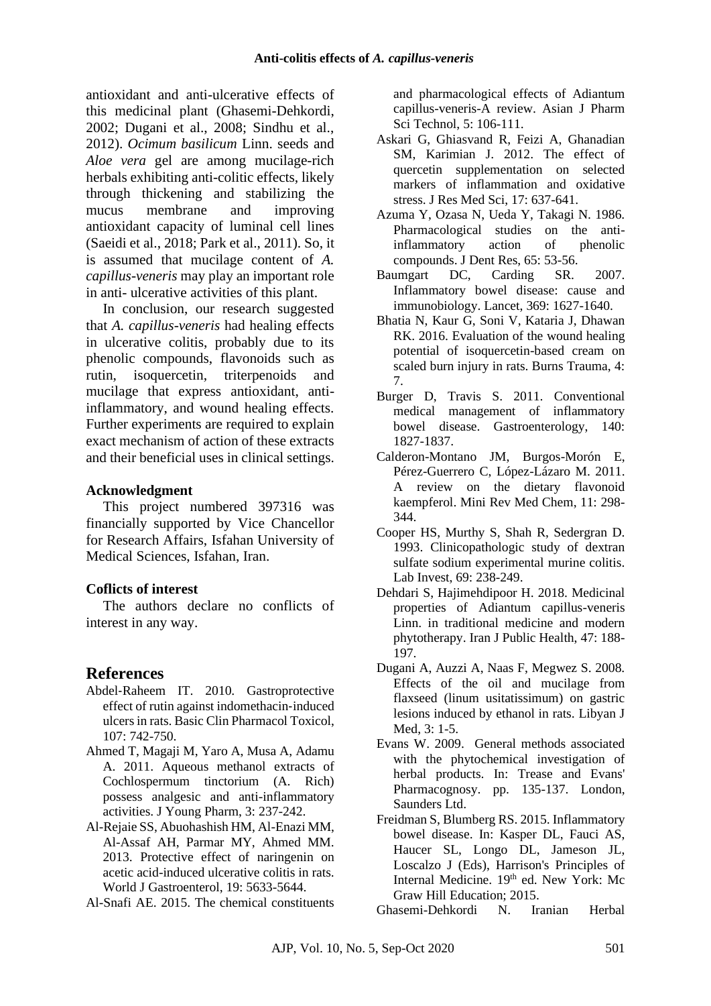antioxidant and anti-ulcerative effects of this medicinal plant (Ghasemi-Dehkordi, 2002; Dugani et al., 2008; Sindhu et al., 2012). *Ocimum basilicum* Linn. seeds and *Aloe vera* gel are among mucilage-rich herbals exhibiting anti-colitic effects, likely through thickening and stabilizing the mucus membrane and improving antioxidant capacity of luminal cell lines (Saeidi et al., 2018; Park et al., 2011). So, it is assumed that mucilage content of *A. capillus-veneris* may play an important role in anti- ulcerative activities of this plant.

In conclusion, our research suggested that *A. capillus-veneris* had healing effects in ulcerative colitis, probably due to its phenolic compounds, flavonoids such as rutin, isoquercetin, triterpenoids and mucilage that express antioxidant, antiinflammatory, and wound healing effects. Further experiments are required to explain exact mechanism of action of these extracts and their beneficial uses in clinical settings.

#### **Acknowledgment**

This project numbered 397316 was financially supported by Vice Chancellor for Research Affairs, Isfahan University of Medical Sciences, Isfahan, Iran.

#### **Coflicts of interest**

The authors declare no conflicts of interest in any way.

## **References**

- Abdel‐Raheem IT. 2010. Gastroprotective effect of rutin against indomethacin‐induced ulcers in rats. Basic Clin Pharmacol Toxicol, 107: 742-750.
- Ahmed T, Magaji M, Yaro A, Musa A, Adamu A. 2011. Aqueous methanol extracts of Cochlospermum tinctorium (A. Rich) possess analgesic and anti-inflammatory activities. J Young Pharm, 3: 237-242.
- Al-Rejaie SS, Abuohashish HM, Al-Enazi MM, Al-Assaf AH, Parmar MY, Ahmed MM. 2013. Protective effect of naringenin on acetic acid-induced ulcerative colitis in rats. World J Gastroenterol, 19: 5633-5644.
- Al-Snafi AE. 2015. The chemical constituents

and pharmacological effects of Adiantum capillus-veneris-A review. Asian J Pharm Sci Technol, 5: 106-111.

- Askari G, Ghiasvand R, Feizi A, Ghanadian SM, Karimian J. 2012. The effect of quercetin supplementation on selected markers of inflammation and oxidative stress. J Res Med Sci, 17: 637-641.
- Azuma Y, Ozasa N, Ueda Y, Takagi N. 1986. Pharmacological studies on the antiinflammatory action of phenolic compounds. J Dent Res, 65: 53-56.
- Baumgart DC, Carding SR. 2007. Inflammatory bowel disease: cause and immunobiology. Lancet, 369: 1627-1640.
- Bhatia N, Kaur G, Soni V, Kataria J, Dhawan RK. 2016. Evaluation of the wound healing potential of isoquercetin-based cream on scaled burn injury in rats. Burns Trauma, 4: 7.
- Burger D, Travis S. 2011. Conventional medical management of inflammatory bowel disease. Gastroenterology, 140: 1827-1837.
- Calderon-Montano JM, Burgos-Morón E, Pérez-Guerrero C, López-Lázaro M. 2011. A review on the dietary flavonoid kaempferol. Mini Rev Med Chem, 11: 298- 344.
- Cooper HS, Murthy S, Shah R, Sedergran D. 1993. Clinicopathologic study of dextran sulfate sodium experimental murine colitis. Lab Invest, 69: 238-249.
- Dehdari S, Hajimehdipoor H. 2018. Medicinal properties of Adiantum capillus-veneris Linn. in traditional medicine and modern phytotherapy. Iran J Public Health, 47: 188- 197.
- Dugani A, Auzzi A, Naas F, Megwez S. 2008. Effects of the oil and mucilage from flaxseed (linum usitatissimum) on gastric lesions induced by ethanol in rats. Libyan J Med, 3: 1-5.
- Evans W. 2009. General methods associated with the phytochemical investigation of herbal products. In: Trease and Evans' Pharmacognosy. pp. 135-137. London, Saunders Ltd.
- Freidman S, Blumberg RS. 2015. Inflammatory bowel disease. In: Kasper DL, Fauci AS, Haucer SL, Longo DL, Jameson JL, Loscalzo J (Eds), Harrison's Principles of Internal Medicine. 19<sup>th</sup> ed. New York: Mc Graw Hill Education; 2015.

Ghasemi-Dehkordi N. Iranian Herbal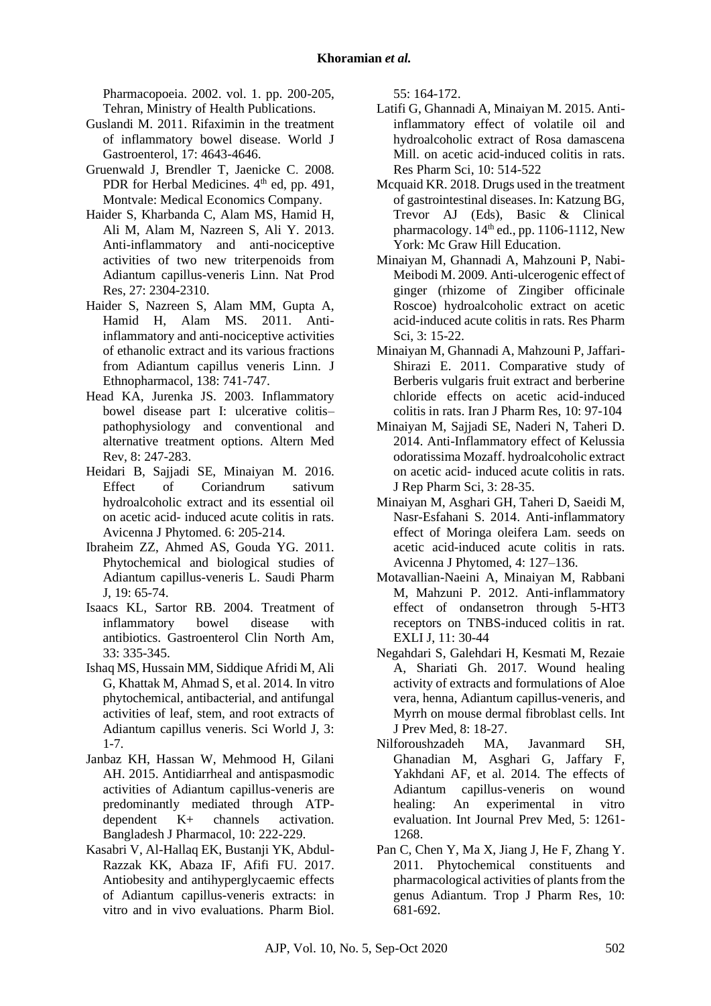Pharmacopoeia. 2002. vol. 1. pp. 200-205, Tehran, Ministry of Health Publications.

- Guslandi M. 2011. Rifaximin in the treatment of inflammatory bowel disease. World J Gastroenterol, 17: 4643-4646.
- Gruenwald J, Brendler T, Jaenicke C. 2008. PDR for Herbal Medicines.  $4<sup>th</sup>$  ed, pp. 491, Montvale: Medical Economics Company.
- Haider S, Kharbanda C, Alam MS, Hamid H, Ali M, Alam M, Nazreen S, Ali Y. 2013. Anti-inflammatory and anti-nociceptive activities of two new triterpenoids from Adiantum capillus-veneris Linn. Nat Prod Res, 27: 2304-2310.
- Haider S, Nazreen S, Alam MM, Gupta A, Hamid H, Alam MS. 2011. Antiinflammatory and anti-nociceptive activities of ethanolic extract and its various fractions from Adiantum capillus veneris Linn. J Ethnopharmacol, 138: 741-747.
- Head KA, Jurenka JS. 2003. Inflammatory bowel disease part I: ulcerative colitis– pathophysiology and conventional and alternative treatment options. Altern Med Rev, 8: 247-283.
- Heidari B, Sajjadi SE, Minaiyan M. 2016. Effect of Coriandrum sativum hydroalcoholic extract and its essential oil on acetic acid- induced acute colitis in rats. Avicenna J Phytomed. 6: 205-214.
- Ibraheim ZZ, Ahmed AS, Gouda YG. 2011. Phytochemical and biological studies of Adiantum capillus-veneris L. Saudi Pharm J, 19: 65-74.
- Isaacs KL, Sartor RB. 2004. Treatment of inflammatory bowel disease with antibiotics. Gastroenterol Clin North Am, 33: 335-345.
- Ishaq MS, Hussain MM, Siddique Afridi M, Ali G, Khattak M, Ahmad S, et al. 2014. In vitro phytochemical, antibacterial, and antifungal activities of leaf, stem, and root extracts of Adiantum capillus veneris. Sci World J, 3: 1-7.
- Janbaz KH, Hassan W, Mehmood H, Gilani AH. 2015. Antidiarrheal and antispasmodic activities of Adiantum capillus-veneris are predominantly mediated through ATPdependent K+ channels activation. Bangladesh J Pharmacol, 10: 222-229.
- Kasabri V, Al-Hallaq EK, Bustanji YK, Abdul-Razzak KK, Abaza IF, Afifi FU. 2017. Antiobesity and antihyperglycaemic effects of Adiantum capillus-veneris extracts: in vitro and in vivo evaluations. Pharm Biol.

55: 164-172.

- Latifi G, Ghannadi A, Minaiyan M. 2015. Antiinflammatory effect of volatile oil and hydroalcoholic extract of Rosa damascena Mill. on acetic acid-induced colitis in rats. Res Pharm Sci, 10: 514-522
- Mcquaid KR. 2018. Drugs used in the treatment of gastrointestinal diseases. In: Katzung BG, Trevor AJ (Eds), Basic & Clinical pharmacology.  $14<sup>th</sup>$  ed., pp. 1106-1112, New York: Mc Graw Hill Education.
- Minaiyan M, Ghannadi A, Mahzouni P, Nabi-Meibodi M. 2009. Anti-ulcerogenic effect of ginger (rhizome of Zingiber officinale Roscoe) hydroalcoholic extract on acetic acid-induced acute colitis in rats. Res Pharm Sci, 3: 15-22.
- Minaiyan M, Ghannadi A, Mahzouni P, Jaffari-Shirazi E. 2011. Comparative study of Berberis vulgaris fruit extract and berberine chloride effects on acetic acid-induced colitis in rats. Iran J Pharm Res, 10: 97-104
- Minaiyan M, Sajjadi SE, Naderi N, Taheri D. 2014. Anti-Inflammatory effect of Kelussia odoratissima Mozaff. hydroalcoholic extract on acetic acid- induced acute colitis in rats. J Rep Pharm Sci, 3: 28-35.
- Minaiyan M, Asghari GH, Taheri D, Saeidi M, Nasr-Esfahani S. 2014. Anti-inflammatory effect of Moringa oleifera Lam. seeds on acetic acid-induced acute colitis in rats. Avicenna J Phytomed, 4: 127–136.
- Motavallian-Naeini A, Minaiyan M, Rabbani M, Mahzuni P. 2012. Anti-inflammatory effect of ondansetron through 5-HT3 receptors on TNBS-induced colitis in rat. EXLI J, 11: 30-44
- Negahdari S, Galehdari H, Kesmati M, Rezaie A, Shariati Gh. 2017. Wound healing activity of extracts and formulations of Aloe vera, henna, Adiantum capillus-veneris, and Myrrh on mouse dermal fibroblast cells. Int J Prev Med, 8: 18-27.
- Nilforoushzadeh MA, Javanmard SH, Ghanadian M, Asghari G, Jaffary F, Yakhdani AF, et al. 2014. The effects of Adiantum capillus-veneris on wound healing: An experimental in vitro evaluation. Int Journal Prev Med, 5: 1261- 1268.
- Pan C, Chen Y, Ma X, Jiang J, He F, Zhang Y. 2011. Phytochemical constituents and pharmacological activities of plants from the genus Adiantum. Trop J Pharm Res, 10: 681-692.